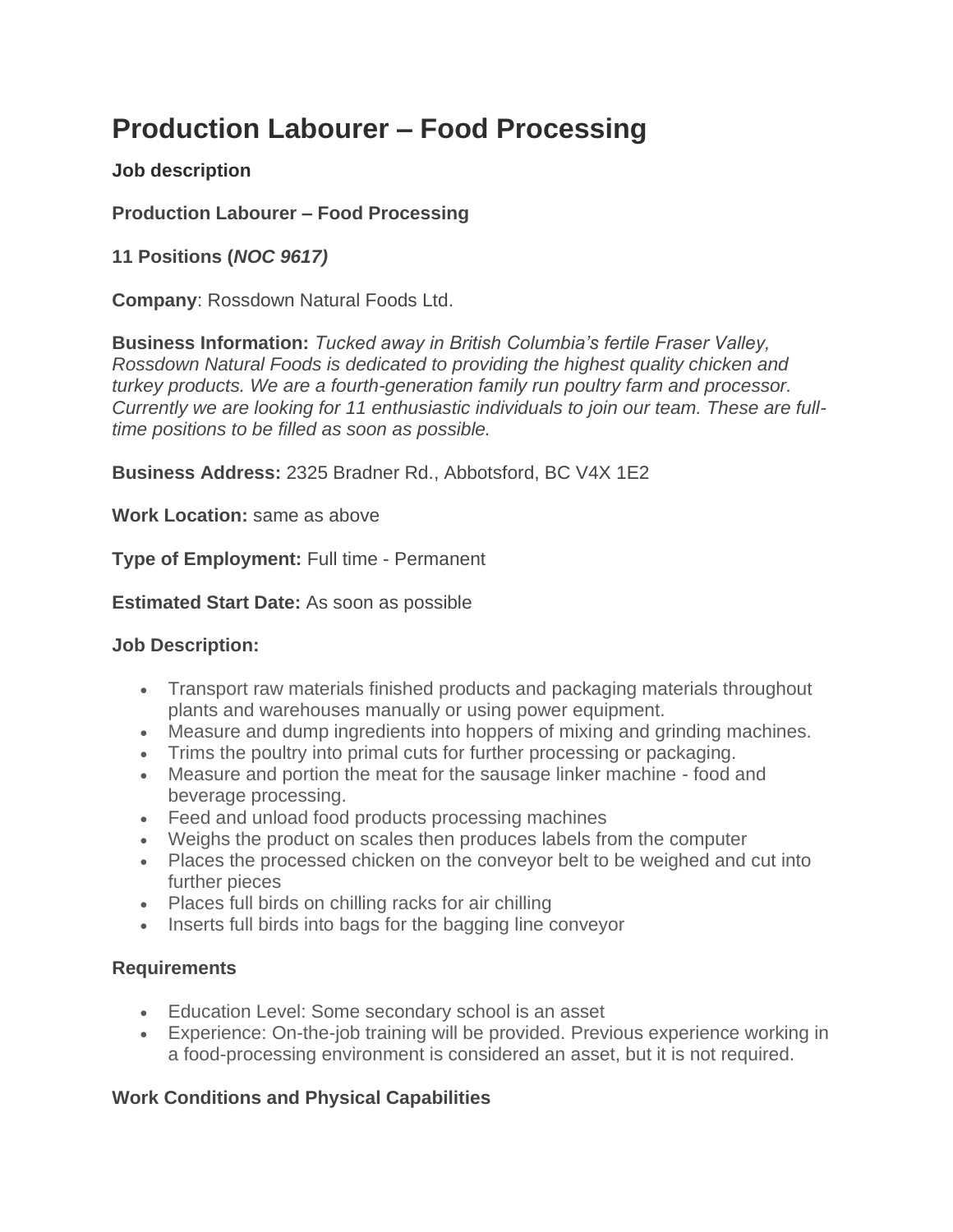# **Production Labourer – Food Processing**

### **Job description**

**Production Labourer – Food Processing**

## **11 Positions (***NOC 9617)*

**Company**: Rossdown Natural Foods Ltd.

**Business Information:** *Tucked away in British Columbia's fertile Fraser Valley, Rossdown Natural Foods is dedicated to providing the highest quality chicken and turkey products. We are a fourth-generation family run poultry farm and processor. Currently we are looking for 11 enthusiastic individuals to join our team. These are fulltime positions to be filled as soon as possible.*

**Business Address:** 2325 Bradner Rd., Abbotsford, BC V4X 1E2

**Work Location:** same as above

**Type of Employment:** Full time - Permanent

**Estimated Start Date:** As soon as possible

#### **Job Description:**

- Transport raw materials finished products and packaging materials throughout plants and warehouses manually or using power equipment.
- Measure and dump ingredients into hoppers of mixing and grinding machines.
- Trims the poultry into primal cuts for further processing or packaging.
- Measure and portion the meat for the sausage linker machine food and beverage processing.
- Feed and unload food products processing machines
- Weighs the product on scales then produces labels from the computer
- Places the processed chicken on the conveyor belt to be weighed and cut into further pieces
- Places full birds on chilling racks for air chilling
- Inserts full birds into bags for the bagging line conveyor

#### **Requirements**

- Education Level: Some secondary school is an asset
- Experience: On-the-job training will be provided. Previous experience working in a food-processing environment is considered an asset, but it is not required.

#### **Work Conditions and Physical Capabilities**